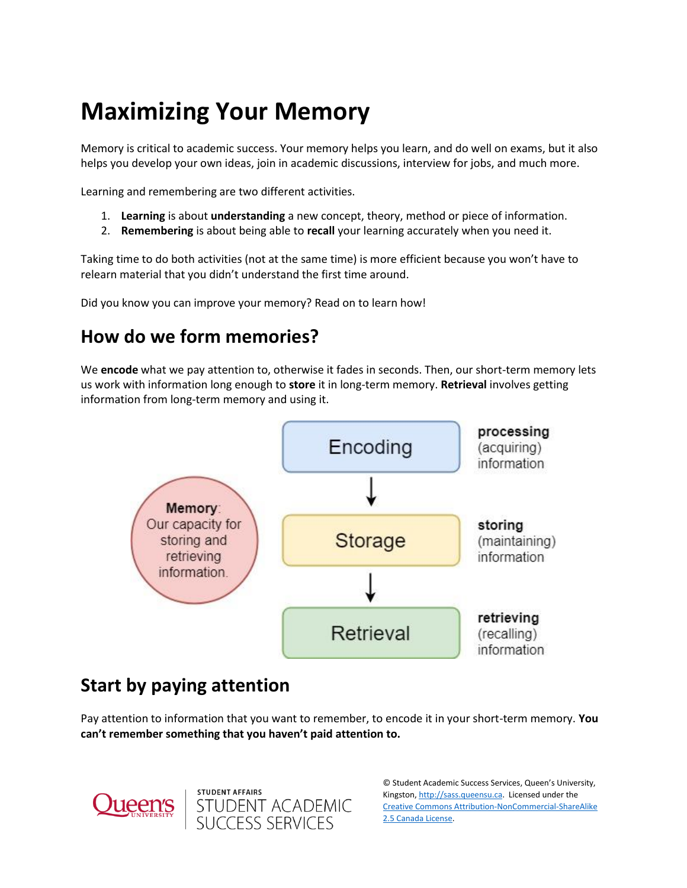# **Maximizing Your Memory**

Memory is critical to academic success. Your memory helps you learn, and do well on exams, but it also helps you develop your own ideas, join in academic discussions, interview for jobs, and much more.

Learning and remembering are two different activities.

- 1. **Learning** is about **understanding** a new concept, theory, method or piece of information.
- 2. **Remembering** is about being able to **recall** your learning accurately when you need it.

Taking time to do both activities (not at the same time) is more efficient because you won't have to relearn material that you didn't understand the first time around.

Did you know you can improve your memory? Read on to learn how!

## **How do we form memories?**

We **encode** what we pay attention to, otherwise it fades in seconds. Then, our short-term memory lets us work with information long enough to **store** it in long-term memory. **Retrieval** involves getting information from long-term memory and using it.



## **Start by paying attention**

**STUDENT AFFAIRS** 

STUDENT ACADEMIC<br>SUCCESS SERVICES

Pay attention to information that you want to remember, to encode it in your short-term memory. **You can't remember something that you haven't paid attention to.**



© Student Academic Success Services, Queen's University, Kingston[, http://sass.queensu.ca.](http://sass.queensu.ca/) Licensed under the [Creative Commons Attribution-NonCommercial-ShareAlike](http://creativecommons.org/licenses/by-nc-sa/2.5/ca/)  [2.5 Canada License.](http://creativecommons.org/licenses/by-nc-sa/2.5/ca/)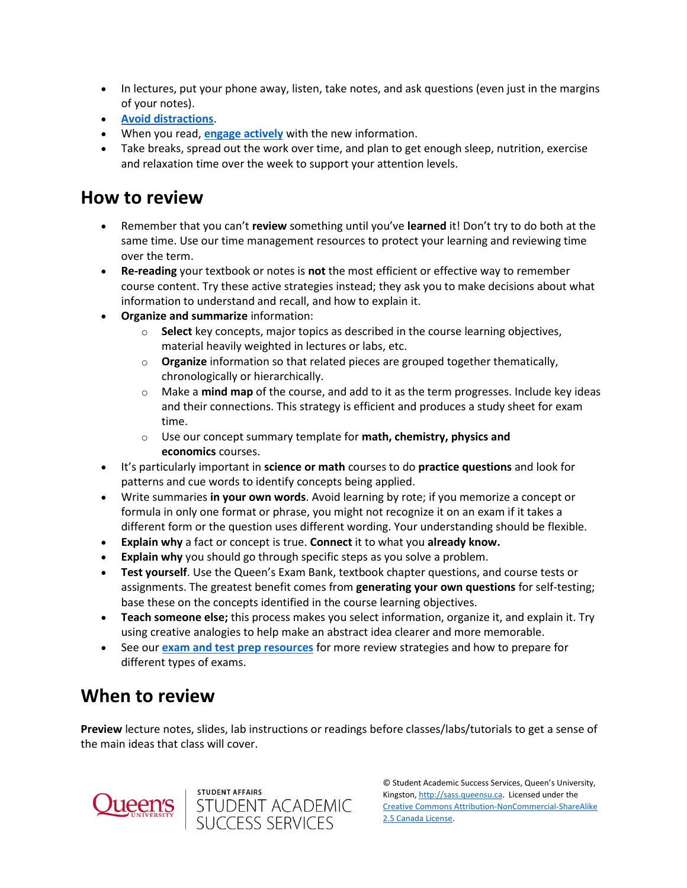- In lectures, put your phone away, listen, take notes, and ask questions (even just in the margins of your notes).
- **[Avoid distractions](https://wp3-dev.its.queensu.ca/ha/sasswww/resources/focus-and-concentration)**.
- When you read, **[engage actively](https://wp3-dev.its.queensu.ca/ha/sasswww/resources/note-taking)** with the new information.
- Take breaks, spread out the work over time, and plan to get enough sleep, nutrition, exercise and relaxation time over the week to support your attention levels.

#### **How to review**

- Remember that you can't **review** something until you've **learned** it! Don't try to do both at the same time. Use our time management resources to protect your learning and reviewing time over the term.
- **Re-reading** your textbook or notes is **not** the most efficient or effective way to remember course content. Try these active strategies instead; they ask you to make decisions about what information to understand and recall, and how to explain it.
- **Organize and summarize** information:
	- o **Select** key concepts, major topics as described in the course learning objectives, material heavily weighted in lectures or labs, etc.
	- o **Organize** information so that related pieces are grouped together thematically, chronologically or hierarchically.
	- o Make a **mind map** of the course, and add to it as the term progresses. Include key ideas and their connections. This strategy is efficient and produces a study sheet for exam time.
	- o Use our concept summary template for **math, chemistry, physics and economics** courses.
- It's particularly important in **science or math** courses to do **practice questions** and look for patterns and cue words to identify concepts being applied.
- Write summaries **in your own words**. Avoid learning by rote; if you memorize a concept or formula in only one format or phrase, you might not recognize it on an exam if it takes a different form or the question uses different wording. Your understanding should be flexible.
- **Explain why** a fact or concept is true. **Connect** it to what you **already know.**
- **Explain why** you should go through specific steps as you solve a problem.
- **Test yourself**. Use the Queen's Exam Bank, textbook chapter questions, and course tests or assignments. The greatest benefit comes from **generating your own questions** for self-testing; base these on the concepts identified in the course learning objectives.
- **Teach someone else;** this process makes you select information, organize it, and explain it. Try using creative analogies to help make an abstract idea clearer and more memorable.
- See our **[exam and test prep resources](https://wp3-dev.its.queensu.ca/ha/sasswww/resources/studying-exams)** for more review strategies and how to prepare for different types of exams.

### **When to review**

**Preview** lecture notes, slides, lab instructions or readings before classes/labs/tutorials to get a sense of the main ideas that class will cover.





© Student Academic Success Services, Queen's University, Kingston[, http://sass.queensu.ca.](http://sass.queensu.ca/) Licensed under the [Creative Commons Attribution-NonCommercial-ShareAlike](http://creativecommons.org/licenses/by-nc-sa/2.5/ca/)  [2.5 Canada License.](http://creativecommons.org/licenses/by-nc-sa/2.5/ca/)